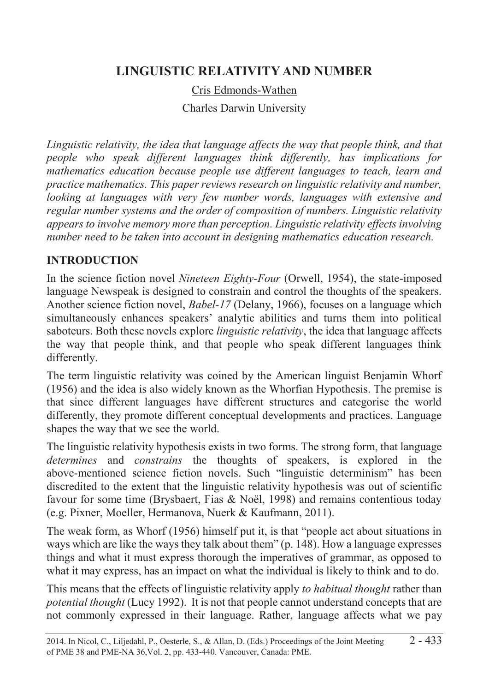# **LINGUISTIC RELATIVITY AND NUMBER**

Cris Edmonds-Wathen

Charles Darwin University

*Linguistic relativity, the idea that language affects the way that people think, and that people who speak different languages think differently, has implications for mathematics education because people use different languages to teach, learn and practice mathematics. This paper reviews research on linguistic relativity and number, looking at languages with very few number words, languages with extensive and regular number systems and the order of composition of numbers. Linguistic relativity appears to involve memory more than perception. Linguistic relativity effects involving number need to be taken into account in designing mathematics education research.* 

## **INTRODUCTION**

In the science fiction novel *Nineteen Eighty-Four* (Orwell, 1954), the state-imposed language Newspeak is designed to constrain and control the thoughts of the speakers. Another science fiction novel, *Babel-17* (Delany, 1966), focuses on a language which simultaneously enhances speakers' analytic abilities and turns them into political saboteurs. Both these novels explore *linguistic relativity*, the idea that language affects the way that people think, and that people who speak different languages think differently.

The term linguistic relativity was coined by the American linguist Benjamin Whorf (1956) and the idea is also widely known as the Whorfian Hypothesis. The premise is that since different languages have different structures and categorise the world differently, they promote different conceptual developments and practices. Language shapes the way that we see the world.

The linguistic relativity hypothesis exists in two forms. The strong form, that language *determines* and *constrains* the thoughts of speakers, is explored in the above-mentioned science fiction novels. Such "linguistic determinism" has been discredited to the extent that the linguistic relativity hypothesis was out of scientific favour for some time (Brysbaert, Fias & Noël, 1998) and remains contentious today (e.g. Pixner, Moeller, Hermanova, Nuerk & Kaufmann, 2011).

The weak form, as Whorf (1956) himself put it, is that "people act about situations in ways which are like the ways they talk about them" (p. 148). How a language expresses things and what it must express thorough the imperatives of grammar, as opposed to what it may express, has an impact on what the individual is likely to think and to do.

This means that the effects of linguistic relativity apply *to habitual thought* rather than *potential thought* (Lucy 1992). It is not that people cannot understand concepts that are not commonly expressed in their language. Rather, language affects what we pay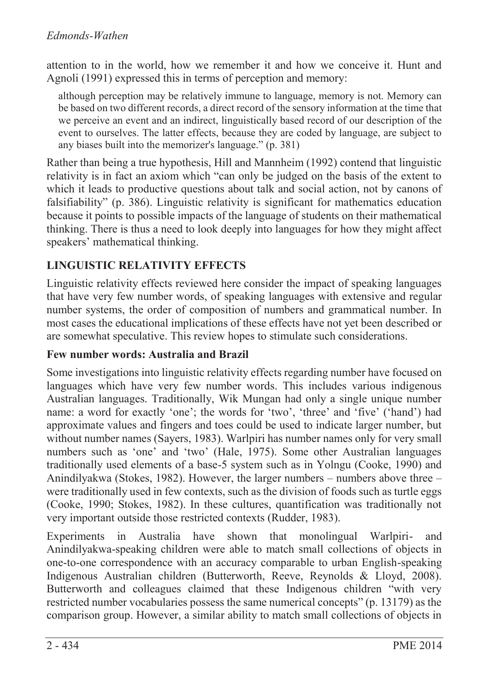attention to in the world, how we remember it and how we conceive it. Hunt and Agnoli (1991) expressed this in terms of perception and memory:

although perception may be relatively immune to language, memory is not. Memory can be based on two different records, a direct record of the sensory information at the time that we perceive an event and an indirect, linguistically based record of our description of the event to ourselves. The latter effects, because they are coded by language, are subject to any biases built into the memorizer's language." (p. 381)

Rather than being a true hypothesis, Hill and Mannheim (1992) contend that linguistic relativity is in fact an axiom which "can only be judged on the basis of the extent to which it leads to productive questions about talk and social action, not by canons of falsifiability" (p. 386). Linguistic relativity is significant for mathematics education because it points to possible impacts of the language of students on their mathematical thinking. There is thus a need to look deeply into languages for how they might affect speakers' mathematical thinking.

# **LINGUISTIC RELATIVITY EFFECTS**

Linguistic relativity effects reviewed here consider the impact of speaking languages that have very few number words, of speaking languages with extensive and regular number systems, the order of composition of numbers and grammatical number. In most cases the educational implications of these effects have not yet been described or are somewhat speculative. This review hopes to stimulate such considerations.

### **Few number words: Australia and Brazil**

Some investigations into linguistic relativity effects regarding number have focused on languages which have very few number words. This includes various indigenous Australian languages. Traditionally, Wik Mungan had only a single unique number name: a word for exactly 'one'; the words for 'two', 'three' and 'five' ('hand') had approximate values and fingers and toes could be used to indicate larger number, but without number names (Sayers, 1983). Warlpiri has number names only for very small numbers such as 'one' and 'two' (Hale, 1975). Some other Australian languages traditionally used elements of a base-5 system such as in Yolngu (Cooke, 1990) and Anindilyakwa (Stokes, 1982). However, the larger numbers – numbers above three – were traditionally used in few contexts, such as the division of foods such as turtle eggs (Cooke, 1990; Stokes, 1982). In these cultures, quantification was traditionally not very important outside those restricted contexts (Rudder, 1983).

Experiments in Australia have shown that monolingual Warlpiri- and Anindilyakwa-speaking children were able to match small collections of objects in one-to-one correspondence with an accuracy comparable to urban English-speaking Indigenous Australian children (Butterworth, Reeve, Reynolds & Lloyd, 2008). Butterworth and colleagues claimed that these Indigenous children "with very restricted number vocabularies possess the same numerical concepts" (p. 13179) as the comparison group. However, a similar ability to match small collections of objects in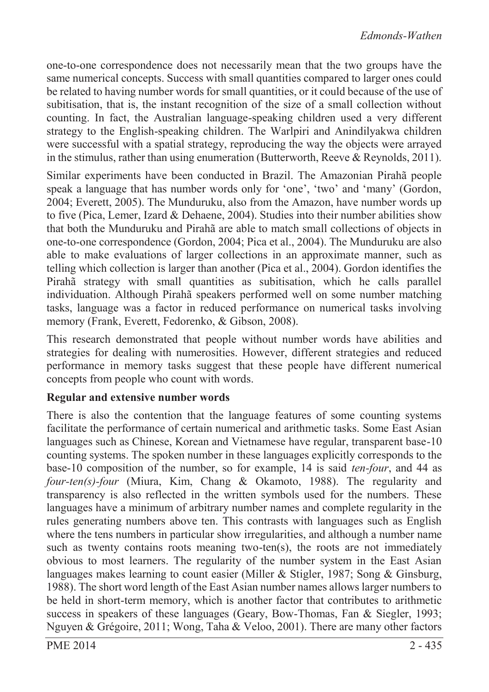one-to-one correspondence does not necessarily mean that the two groups have the same numerical concepts. Success with small quantities compared to larger ones could be related to having number words for small quantities, or it could because of the use of subitisation, that is, the instant recognition of the size of a small collection without counting. In fact, the Australian language-speaking children used a very different strategy to the English-speaking children. The Warlpiri and Anindilyakwa children were successful with a spatial strategy, reproducing the way the objects were arrayed in the stimulus, rather than using enumeration (Butterworth, Reeve & Reynolds, 2011).

Similar experiments have been conducted in Brazil. The Amazonian Pirahã people speak a language that has number words only for 'one', 'two' and 'many' (Gordon, 2004; Everett, 2005). The Munduruku, also from the Amazon, have number words up to five (Pica, Lemer, Izard & Dehaene, 2004). Studies into their number abilities show that both the Munduruku and Pirahã are able to match small collections of objects in one-to-one correspondence (Gordon, 2004; Pica et al., 2004). The Munduruku are also able to make evaluations of larger collections in an approximate manner, such as telling which collection is larger than another (Pica et al., 2004). Gordon identifies the Pirahã strategy with small quantities as subitisation, which he calls parallel individuation. Although Pirahã speakers performed well on some number matching tasks, language was a factor in reduced performance on numerical tasks involving memory (Frank, Everett, Fedorenko, & Gibson, 2008).

This research demonstrated that people without number words have abilities and strategies for dealing with numerosities. However, different strategies and reduced performance in memory tasks suggest that these people have different numerical concepts from people who count with words.

### **Regular and extensive number words**

There is also the contention that the language features of some counting systems facilitate the performance of certain numerical and arithmetic tasks. Some East Asian languages such as Chinese, Korean and Vietnamese have regular, transparent base-10 counting systems. The spoken number in these languages explicitly corresponds to the base-10 composition of the number, so for example, 14 is said *ten-four*, and 44 as *four-ten(s)-four* (Miura, Kim, Chang & Okamoto, 1988). The regularity and transparency is also reflected in the written symbols used for the numbers. These languages have a minimum of arbitrary number names and complete regularity in the rules generating numbers above ten. This contrasts with languages such as English where the tens numbers in particular show irregularities, and although a number name such as twenty contains roots meaning two-ten(s), the roots are not immediately obvious to most learners. The regularity of the number system in the East Asian languages makes learning to count easier (Miller & Stigler, 1987; Song & Ginsburg, 1988). The short word length of the East Asian number names allows larger numbers to be held in short-term memory, which is another factor that contributes to arithmetic success in speakers of these languages (Geary, Bow-Thomas, Fan & Siegler, 1993; Nguyen & Grégoire, 2011; Wong, Taha & Veloo, 2001). There are many other factors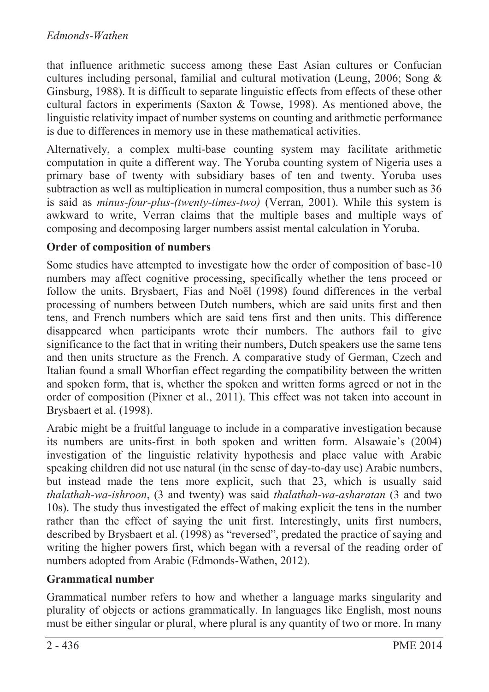that influence arithmetic success among these East Asian cultures or Confucian cultures including personal, familial and cultural motivation (Leung, 2006; Song & Ginsburg, 1988). It is difficult to separate linguistic effects from effects of these other cultural factors in experiments (Saxton & Towse, 1998). As mentioned above, the linguistic relativity impact of number systems on counting and arithmetic performance is due to differences in memory use in these mathematical activities.

Alternatively, a complex multi-base counting system may facilitate arithmetic computation in quite a different way. The Yoruba counting system of Nigeria uses a primary base of twenty with subsidiary bases of ten and twenty. Yoruba uses subtraction as well as multiplication in numeral composition, thus a number such as 36 is said as *minus-four-plus-(twenty-times-two)* (Verran, 2001). While this system is awkward to write, Verran claims that the multiple bases and multiple ways of composing and decomposing larger numbers assist mental calculation in Yoruba.

### **Order of composition of numbers**

Some studies have attempted to investigate how the order of composition of base-10 numbers may affect cognitive processing, specifically whether the tens proceed or follow the units. Brysbaert, Fias and Noël (1998) found differences in the verbal processing of numbers between Dutch numbers, which are said units first and then tens, and French numbers which are said tens first and then units. This difference disappeared when participants wrote their numbers. The authors fail to give significance to the fact that in writing their numbers, Dutch speakers use the same tens and then units structure as the French. A comparative study of German, Czech and Italian found a small Whorfian effect regarding the compatibility between the written and spoken form, that is, whether the spoken and written forms agreed or not in the order of composition (Pixner et al., 2011). This effect was not taken into account in Brysbaert et al. (1998).

Arabic might be a fruitful language to include in a comparative investigation because its numbers are units-first in both spoken and written form. Alsawaie's (2004) investigation of the linguistic relativity hypothesis and place value with Arabic speaking children did not use natural (in the sense of day-to-day use) Arabic numbers, but instead made the tens more explicit, such that 23, which is usually said *thalathah-wa-ishroon*, (3 and twenty) was said *thalathah-wa-asharatan* (3 and two 10s). The study thus investigated the effect of making explicit the tens in the number rather than the effect of saying the unit first. Interestingly, units first numbers, described by Brysbaert et al. (1998) as "reversed", predated the practice of saying and writing the higher powers first, which began with a reversal of the reading order of numbers adopted from Arabic (Edmonds-Wathen, 2012).

### **Grammatical number**

Grammatical number refers to how and whether a language marks singularity and plurality of objects or actions grammatically. In languages like English, most nouns must be either singular or plural, where plural is any quantity of two or more. In many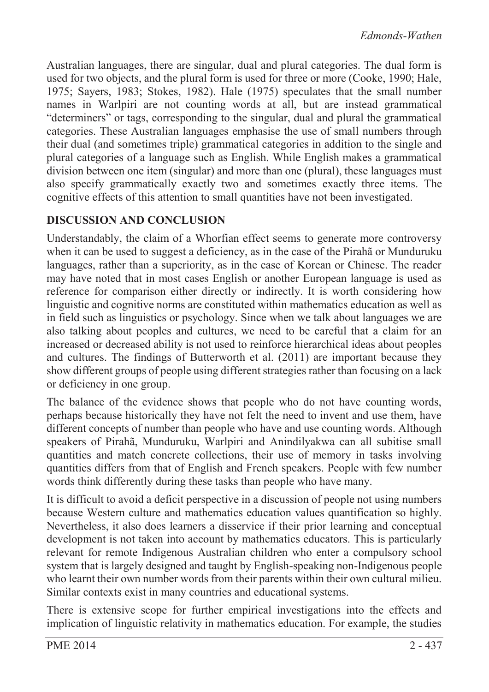Australian languages, there are singular, dual and plural categories. The dual form is used for two objects, and the plural form is used for three or more (Cooke, 1990; Hale, 1975; Sayers, 1983; Stokes, 1982). Hale (1975) speculates that the small number names in Warlpiri are not counting words at all, but are instead grammatical "determiners" or tags, corresponding to the singular, dual and plural the grammatical categories. These Australian languages emphasise the use of small numbers through their dual (and sometimes triple) grammatical categories in addition to the single and plural categories of a language such as English. While English makes a grammatical division between one item (singular) and more than one (plural), these languages must also specify grammatically exactly two and sometimes exactly three items. The cognitive effects of this attention to small quantities have not been investigated.

### **DISCUSSION AND CONCLUSION**

Understandably, the claim of a Whorfian effect seems to generate more controversy when it can be used to suggest a deficiency, as in the case of the Pirahã or Munduruku languages, rather than a superiority, as in the case of Korean or Chinese. The reader may have noted that in most cases English or another European language is used as reference for comparison either directly or indirectly. It is worth considering how linguistic and cognitive norms are constituted within mathematics education as well as in field such as linguistics or psychology. Since when we talk about languages we are also talking about peoples and cultures, we need to be careful that a claim for an increased or decreased ability is not used to reinforce hierarchical ideas about peoples and cultures. The findings of Butterworth et al. (2011) are important because they show different groups of people using different strategies rather than focusing on a lack or deficiency in one group.

The balance of the evidence shows that people who do not have counting words, perhaps because historically they have not felt the need to invent and use them, have different concepts of number than people who have and use counting words. Although speakers of Pirahã, Munduruku, Warlpiri and Anindilyakwa can all subitise small quantities and match concrete collections, their use of memory in tasks involving quantities differs from that of English and French speakers. People with few number words think differently during these tasks than people who have many.

It is difficult to avoid a deficit perspective in a discussion of people not using numbers because Western culture and mathematics education values quantification so highly. Nevertheless, it also does learners a disservice if their prior learning and conceptual development is not taken into account by mathematics educators. This is particularly relevant for remote Indigenous Australian children who enter a compulsory school system that is largely designed and taught by English-speaking non-Indigenous people who learnt their own number words from their parents within their own cultural milieu. Similar contexts exist in many countries and educational systems.

There is extensive scope for further empirical investigations into the effects and implication of linguistic relativity in mathematics education. For example, the studies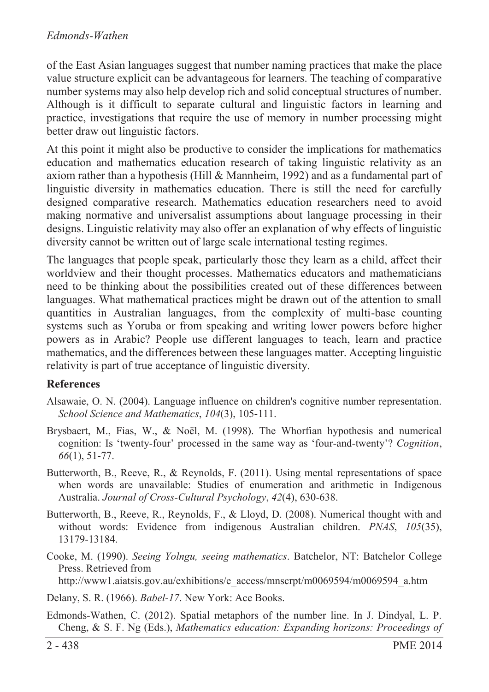#### *Edmonds-Wathen*

of the East Asian languages suggest that number naming practices that make the place value structure explicit can be advantageous for learners. The teaching of comparative number systems may also help develop rich and solid conceptual structures of number. Although is it difficult to separate cultural and linguistic factors in learning and practice, investigations that require the use of memory in number processing might better draw out linguistic factors.

At this point it might also be productive to consider the implications for mathematics education and mathematics education research of taking linguistic relativity as an axiom rather than a hypothesis (Hill & Mannheim, 1992) and as a fundamental part of linguistic diversity in mathematics education. There is still the need for carefully designed comparative research. Mathematics education researchers need to avoid making normative and universalist assumptions about language processing in their designs. Linguistic relativity may also offer an explanation of why effects of linguistic diversity cannot be written out of large scale international testing regimes.

The languages that people speak, particularly those they learn as a child, affect their worldview and their thought processes. Mathematics educators and mathematicians need to be thinking about the possibilities created out of these differences between languages. What mathematical practices might be drawn out of the attention to small quantities in Australian languages, from the complexity of multi-base counting systems such as Yoruba or from speaking and writing lower powers before higher powers as in Arabic? People use different languages to teach, learn and practice mathematics, and the differences between these languages matter. Accepting linguistic relativity is part of true acceptance of linguistic diversity.

#### **References**

- Alsawaie, O. N. (2004). Language influence on children's cognitive number representation. *School Science and Mathematics*, *104*(3), 105-111.
- Brysbaert, M., Fias, W., & Noël, M. (1998). The Whorfian hypothesis and numerical cognition: Is 'twenty-four' processed in the same way as 'four-and-twenty'? *Cognition*, *66*(1), 51-77.
- Butterworth, B., Reeve, R., & Reynolds, F. (2011). Using mental representations of space when words are unavailable: Studies of enumeration and arithmetic in Indigenous Australia. *Journal of Cross-Cultural Psychology*, *42*(4), 630-638.
- Butterworth, B., Reeve, R., Reynolds, F., & Lloyd, D. (2008). Numerical thought with and without words: Evidence from indigenous Australian children. *PNAS*, *105*(35), 13179-13184.
- Cooke, M. (1990). *Seeing Yolngu, seeing mathematics*. Batchelor, NT: Batchelor College Press. Retrieved from

http://www1.aiatsis.gov.au/exhibitions/e\_access/mnscrpt/m0069594/m0069594\_a.htm

- Delany, S. R. (1966). *Babel-17*. New York: Ace Books.
- Edmonds-Wathen, C. (2012). Spatial metaphors of the number line. In J. Dindyal, L. P. Cheng, & S. F. Ng (Eds.), *Mathematics education: Expanding horizons: Proceedings of*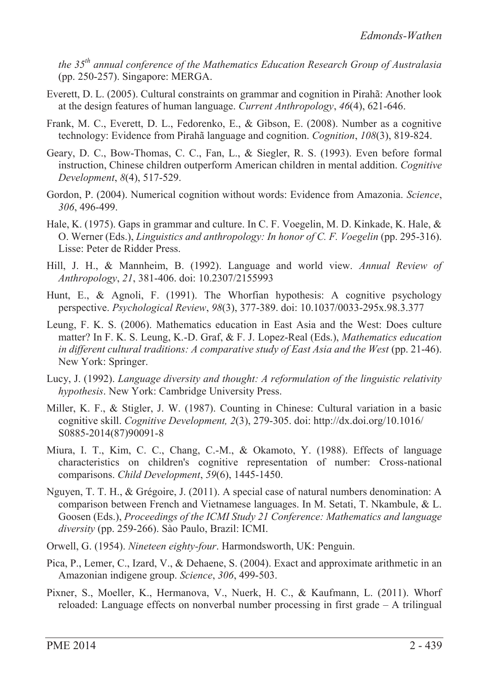*the 35th annual conference of the Mathematics Education Research Group of Australasia* (pp. 250-257). Singapore: MERGA.

- Everett, D. L. (2005). Cultural constraints on grammar and cognition in Pirahã: Another look at the design features of human language. *Current Anthropology*, *46*(4), 621-646.
- Frank, M. C., Everett, D. L., Fedorenko, E., & Gibson, E. (2008). Number as a cognitive technology: Evidence from Pirahã language and cognition. *Cognition*, *108*(3), 819-824.
- Geary, D. C., Bow-Thomas, C. C., Fan, L., & Siegler, R. S. (1993). Even before formal instruction, Chinese children outperform American children in mental addition. *Cognitive Development*, *8*(4), 517-529.
- Gordon, P. (2004). Numerical cognition without words: Evidence from Amazonia. *Science*, *306*, 496-499.
- Hale, K. (1975). Gaps in grammar and culture. In C. F. Voegelin, M. D. Kinkade, K. Hale, & O. Werner (Eds.), *Linguistics and anthropology: In honor of C. F. Voegelin* (pp. 295-316). Lisse: Peter de Ridder Press.
- Hill, J. H., & Mannheim, B. (1992). Language and world view. *Annual Review of Anthropology*, *21*, 381-406. doi: 10.2307/2155993
- Hunt, E., & Agnoli, F. (1991). The Whorfian hypothesis: A cognitive psychology perspective. *Psychological Review*, *98*(3), 377-389. doi: 10.1037/0033-295x.98.3.377
- Leung, F. K. S. (2006). Mathematics education in East Asia and the West: Does culture matter? In F. K. S. Leung, K.-D. Graf, & F. J. Lopez-Real (Eds.), *Mathematics education in different cultural traditions: A comparative study of East Asia and the West* (pp. 21-46). New York: Springer.
- Lucy, J. (1992). *Language diversity and thought: A reformulation of the linguistic relativity hypothesis*. New York: Cambridge University Press.
- Miller, K. F., & Stigler, J. W. (1987). Counting in Chinese: Cultural variation in a basic cognitive skill. *Cognitive Development, 2*(3), 279-305. doi: http://dx.doi.org/10.1016/ S0885-2014(87)90091-8
- Miura, I. T., Kim, C. C., Chang, C.-M., & Okamoto, Y. (1988). Effects of language characteristics on children's cognitive representation of number: Cross-national comparisons. *Child Development*, *59*(6), 1445-1450.
- Nguyen, T. T. H., & Grégoire, J. (2011). A special case of natural numbers denomination: A comparison between French and Vietnamese languages. In M. Setati, T. Nkambule, & L. Goosen (Eds.), *Proceedings of the ICMI Study 21 Conference: Mathematics and language diversity* (pp. 259-266). Sào Paulo, Brazil: ICMI.
- Orwell, G. (1954). *Nineteen eighty-four*. Harmondsworth, UK: Penguin.
- Pica, P., Lemer, C., Izard, V., & Dehaene, S. (2004). Exact and approximate arithmetic in an Amazonian indigene group. *Science*, *306*, 499-503.
- Pixner, S., Moeller, K., Hermanova, V., Nuerk, H. C., & Kaufmann, L. (2011). Whorf reloaded: Language effects on nonverbal number processing in first grade – A trilingual